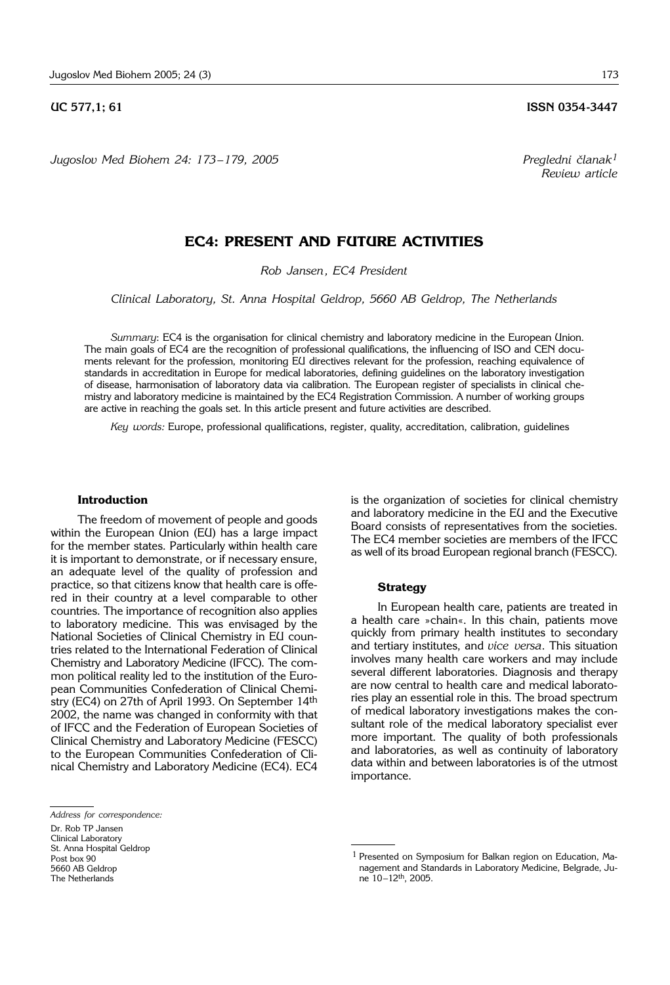*Jugoslov Med Biohem 24: 173*–*179, 2005 Pregledni ~lanak1*

## **UC 577.1: 61 ISSN 0354-3447**

*Review article*

## **EC4: PRESENT AND FUTURE ACTIVITIES**

*Rob Jansen, EC4 President*

*Clinical Laboratory, St. Anna Hospital Geldrop, 5660 AB Geldrop, The Netherlands*

*Summary*: EC4 is the organisation for clinical chemistry and laboratory medicine in the European Union. The main goals of EC4 are the recognition of professional qualifications, the influencing of ISO and CEN documents relevant for the profession, monitoring EU directives relevant for the profession, reaching equivalence of standards in accreditation in Europe for medical laboratories, defining guidelines on the laboratory investigation of disease, harmonisation of laboratory data via calibration. The European register of specialists in clinical chemistry and laboratory medicine is maintained by the EC4 Registration Commission. A number of working groups are active in reaching the goals set. In this article present and future activities are described.

*Key words:* Europe, professional qualifications, register, quality, accreditation, calibration, guidelines

### **Introduction**

The freedom of movement of people and goods within the European Union (EU) has a large impact for the member states. Particularly within health care it is important to demonstrate, or if necessary ensure, an adequate level of the quality of profession and practice, so that citizens know that health care is offered in their country at a level comparable to other countries. The importance of recognition also applies to laboratory medicine. This was envisaged by the National Societies of Clinical Chemistry in EU countries related to the International Federation of Clinical Chemistry and Laboratory Medicine (IFCC). The common political reality led to the institution of the European Communities Confederation of Clinical Chemistry (EC4) on 27th of April 1993. On September 14th 2002, the name was changed in conformity with that of IFCC and the Federation of European Societies of Clinical Chemistry and Laboratory Medicine (FESCC) to the European Communities Confederation of Clinical Chemistry and Laboratory Medicine (EC4). EC4 is the organization of societies for clinical chemistry and laboratory medicine in the EU and the Executive Board consists of representatives from the societies. The EC4 member societies are members of the IFCC as well of its broad European regional branch (FESCC).

#### **Strategy**

In European health care, patients are treated in a health care »chain«. In this chain, patients move quickly from primary health institutes to secondary and tertiary institutes, and *vice versa*. This situation involves many health care workers and may include several different laboratories. Diagnosis and therapy are now central to health care and medical laboratories play an essential role in this. The broad spectrum of medical laboratory investigations makes the consultant role of the medical laboratory specialist ever more important. The quality of both professionals and laboratories, as well as continuity of laboratory data within and between laboratories is of the utmost importance.

*Address for correspondence:*

Dr. Rob TP Jansen Clinical Laboratory St. Anna Hospital Geldrop Post box 90 5660 AB Geldrop

The Netherlands

<sup>1</sup> Presented on Symposium for Balkan region on Education, Management and Standards in Laboratory Medicine, Belgrade, June 10–12th, 2005.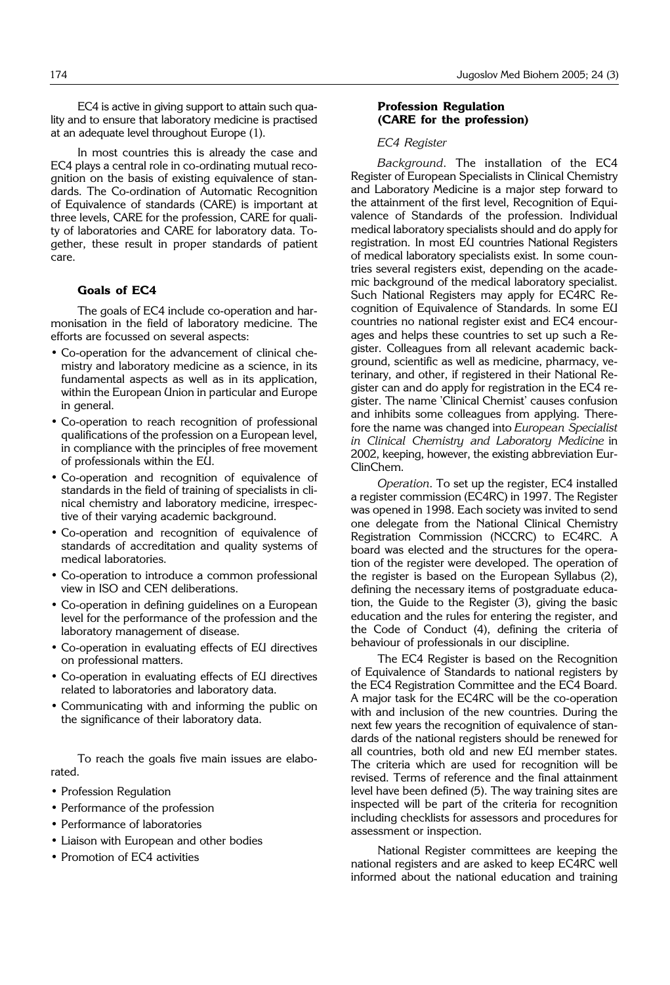EC4 is active in giving support to attain such quality and to ensure that laboratory medicine is practised at an adequate level throughout Europe (1).

In most countries this is already the case and EC4 plays a central role in co-ordinating mutual recognition on the basis of existing equivalence of standards. The Co-ordination of Automatic Recognition of Equivalence of standards (CARE) is important at three levels, CARE for the profession, CARE for quality of laboratories and CARE for laboratory data. Together, these result in proper standards of patient care.

## **Goals of EC4**

The goals of EC4 include co-operation and harmonisation in the field of laboratory medicine. The efforts are focussed on several aspects:

- Co-operation for the advancement of clinical chemistry and laboratory medicine as a science, in its fundamental aspects as well as in its application, within the European Union in particular and Europe in general.
- Co-operation to reach recognition of professional qualifications of the profession on a European level, in compliance with the principles of free movement of professionals within the EU.
- Co-operation and recognition of equivalence of standards in the field of training of specialists in clinical chemistry and laboratory medicine, irrespective of their varying academic background.
- Co-operation and recognition of equivalence of standards of accreditation and quality systems of medical laboratories.
- Co-operation to introduce a common professional view in ISO and CEN deliberations.
- Co-operation in defining guidelines on a European level for the performance of the profession and the laboratory management of disease.
- Co-operation in evaluating effects of EU directives on professional matters.
- Co-operation in evaluating effects of EU directives related to laboratories and laboratory data.
- Communicating with and informing the public on the significance of their laboratory data.

To reach the goals five main issues are elaborated.

- Profession Regulation
- Performance of the profession
- Performance of laboratories
- Liaison with European and other bodies
- Promotion of EC4 activities

## **Profession Regulation (CARE for the profession)**

## *EC4 Register*

*Background*. The installation of the EC4 Register of European Specialists in Clinical Chemistry and Laboratory Medicine is a major step forward to the attainment of the first level, Recognition of Equivalence of Standards of the profession. Individual medical laboratory specialists should and do apply for registration. In most EU countries National Registers of medical laboratory specialists exist. In some countries several registers exist, depending on the academic background of the medical laboratory specialist. Such National Registers may apply for EC4RC Recognition of Equivalence of Standards. In some EU countries no national register exist and EC4 encourages and helps these countries to set up such a Register. Colleagues from all relevant academic background, scientific as well as medicine, pharmacy, veterinary, and other, if registered in their National Register can and do apply for registration in the EC4 register. The name 'Clinical Chemist' causes confusion and inhibits some colleagues from applying. Therefore the name was changed into *European Specialist in Clinical Chemistry and Laboratory Medicine* in 2002, keeping, however, the existing abbreviation Eur-ClinChem.

*Operation*. To set up the register, EC4 installed a register commission (EC4RC) in 1997. The Register was opened in 1998. Each society was invited to send one delegate from the National Clinical Chemistry Registration Commission (NCCRC) to EC4RC. A board was elected and the structures for the operation of the register were developed. The operation of the register is based on the European Syllabus (2), defining the necessary items of postgraduate education, the Guide to the Register (3), giving the basic education and the rules for entering the register, and the Code of Conduct (4), defining the criteria of behaviour of professionals in our discipline.

The EC4 Register is based on the Recognition of Equivalence of Standards to national registers by the EC4 Registration Committee and the EC4 Board. A major task for the EC4RC will be the co-operation with and inclusion of the new countries. During the next few years the recognition of equivalence of standards of the national registers should be renewed for all countries, both old and new EU member states. The criteria which are used for recognition will be revised. Terms of reference and the final attainment level have been defined (5). The way training sites are inspected will be part of the criteria for recognition including checklists for assessors and procedures for assessment or inspection.

National Register committees are keeping the national registers and are asked to keep EC4RC well informed about the national education and training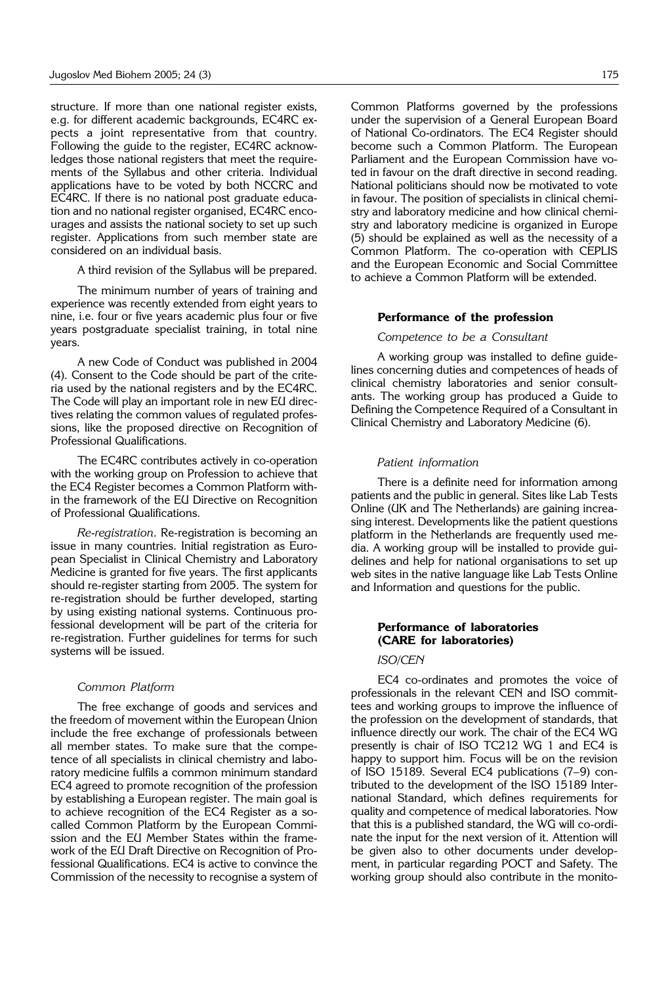structure. If more than one national register exists, e.g. for different academic backgrounds, EC4RC expects a joint representative from that country. Following the guide to the register, EC4RC acknowledges those national registers that meet the requirements of the Syllabus and other criteria. Individual applications have to be voted by both NCCRC and EC4RC. If there is no national post graduate education and no national register organised, EC4RC encourages and assists the national society to set up such register. Applications from such member state are considered on an individual basis.

A third revision of the Syllabus will be prepared.

The minimum number of years of training and experience was recently extended from eight years to nine, i.e. four or five years academic plus four or five years postgraduate specialist training, in total nine years.

A new Code of Conduct was published in 2004 (4). Consent to the Code should be part of the criteria used by the national registers and by the EC4RC. The Code will play an important role in new EU directives relating the common values of regulated professions, like the proposed directive on Recognition of Professional Qualifications.

The EC4RC contributes actively in co-operation with the working group on Profession to achieve that the EC4 Register becomes a Common Platform within the framework of the EU Directive on Recognition of Professional Qualifications.

*Re*-*registration*. Re-registration is becoming an issue in many countries. Initial registration as European Specialist in Clinical Chemistry and Laboratory Medicine is granted for five years. The first applicants should re-register starting from 2005. The system for re-registration should be further developed, starting by using existing national systems. Continuous professional development will be part of the criteria for re-registration. Further guidelines for terms for such systems will be issued.

#### *Common Platform*

The free exchange of goods and services and the freedom of movement within the European Union include the free exchange of professionals between all member states. To make sure that the competence of all specialists in clinical chemistry and laboratory medicine fulfils a common minimum standard EC4 agreed to promote recognition of the profession by establishing a European register. The main goal is to achieve recognition of the EC4 Register as a socalled Common Platform by the European Commission and the EU Member States within the framework of the EU Draft Directive on Recognition of Professional Qualifications. EC4 is active to convince the Commission of the necessity to recognise a system of

Common Platforms governed by the professions under the supervision of a General European Board of National Co-ordinators. The EC4 Register should become such a Common Platform. The European Parliament and the European Commission have voted in favour on the draft directive in second reading. National politicians should now be motivated to vote in favour. The position of specialists in clinical chemistry and laboratory medicine and how clinical chemistry and laboratory medicine is organized in Europe (5) should be explained as well as the necessity of a Common Platform. The co-operation with CEPLIS and the European Economic and Social Committee to achieve a Common Platform will be extended.

## **Performance of the profession**

## *Competence to be a Consultant*

A working group was installed to define guidelines concerning duties and competences of heads of clinical chemistry laboratories and senior consultants. The working group has produced a Guide to Defining the Competence Required of a Consultant in Clinical Chemistry and Laboratory Medicine (6).

#### *Patient information*

There is a definite need for information among patients and the public in general. Sites like Lab Tests Online (UK and The Netherlands) are gaining increasing interest. Developments like the patient questions platform in the Netherlands are frequently used media. A working group will be installed to provide guidelines and help for national organisations to set up web sites in the native language like Lab Tests Online and Information and questions for the public.

## **Performance of laboratories (CARE for laboratories)**

#### *ISO/CEN*

EC4 co-ordinates and promotes the voice of professionals in the relevant CEN and ISO committees and working groups to improve the influence of the profession on the development of standards, that influence directly our work. The chair of the EC4 WG presently is chair of ISO TC212 WG 1 and EC4 is happy to support him. Focus will be on the revision of ISO 15189. Several EC4 publications (7–9) contributed to the development of the ISO 15189 International Standard, which defines requirements for quality and competence of medical laboratories. Now that this is a published standard, the WG will co-ordinate the input for the next version of it. Attention will be given also to other documents under development, in particular regarding POCT and Safety. The working group should also contribute in the monito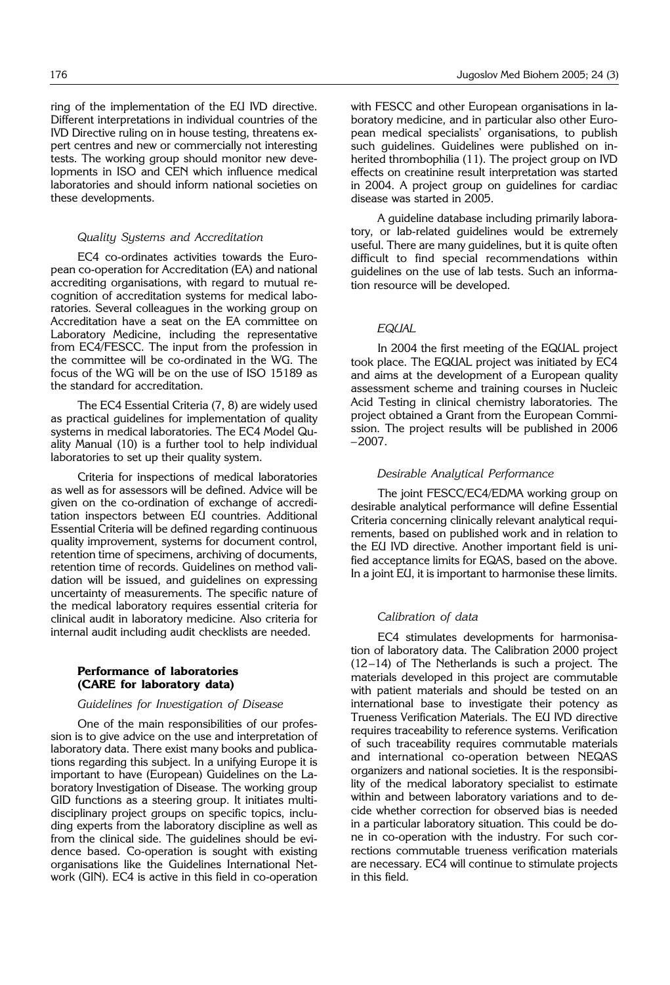ring of the implementation of the EU IVD directive. Different interpretations in individual countries of the IVD Directive ruling on in house testing, threatens expert centres and new or commercially not interesting tests. The working group should monitor new developments in ISO and CEN which influence medical laboratories and should inform national societies on these developments.

## *Quality Systems and Accreditation*

EC4 co-ordinates activities towards the European co-operation for Accreditation (EA) and national accrediting organisations, with regard to mutual recognition of accreditation systems for medical laboratories. Several colleagues in the working group on Accreditation have a seat on the EA committee on Laboratory Medicine, including the representative from EC4/FESCC. The input from the profession in the committee will be co-ordinated in the WG. The focus of the WG will be on the use of ISO 15189 as the standard for accreditation.

The EC4 Essential Criteria (7, 8) are widely used as practical guidelines for implementation of quality systems in medical laboratories. The EC4 Model Quality Manual (10) is a further tool to help individual laboratories to set up their quality system.

Criteria for inspections of medical laboratories as well as for assessors will be defined. Advice will be given on the co-ordination of exchange of accreditation inspectors between EU countries. Additional Essential Criteria will be defined regarding continuous quality improvement, systems for document control, retention time of specimens, archiving of documents, retention time of records. Guidelines on method validation will be issued, and guidelines on expressing uncertainty of measurements. The specific nature of the medical laboratory requires essential criteria for clinical audit in laboratory medicine. Also criteria for internal audit including audit checklists are needed.

## **Performance of laboratories (CARE for laboratory data)**

## *Guidelines for Investigation of Disease*

One of the main responsibilities of our profession is to give advice on the use and interpretation of laboratory data. There exist many books and publications regarding this subject. In a unifying Europe it is important to have (European) Guidelines on the Laboratory Investigation of Disease. The working group GID functions as a steering group. It initiates multidisciplinary project groups on specific topics, including experts from the laboratory discipline as well as from the clinical side. The guidelines should be evidence based. Co-operation is sought with existing organisations like the Guidelines International Network (GIN). EC4 is active in this field in co-operation

with FESCC and other European organisations in laboratory medicine, and in particular also other European medical specialists' organisations, to publish such guidelines. Guidelines were published on inherited thrombophilia (11). The project group on IVD effects on creatinine result interpretation was started in 2004. A project group on guidelines for cardiac disease was started in 2005.

A guideline database including primarily laboratory, or lab-related guidelines would be extremely useful. There are many guidelines, but it is quite often difficult to find special recommendations within guidelines on the use of lab tests. Such an information resource will be developed.

## *EQUAL*

In 2004 the first meeting of the EQUAL project took place. The EQUAL project was initiated by EC4 and aims at the development of a European quality assessment scheme and training courses in Nucleic Acid Testing in clinical chemistry laboratories. The project obtained a Grant from the European Commission. The project results will be published in 2006 –2007.

### *Desirable Analytical Performance*

The joint FESCC/EC4/EDMA working group on desirable analytical performance will define Essential Criteria concerning clinically relevant analytical requirements, based on published work and in relation to the EU IVD directive. Another important field is unified acceptance limits for EQAS, based on the above. In a joint EU, it is important to harmonise these limits.

#### *Calibration of data*

EC4 stimulates developments for harmonisation of laboratory data. The Calibration 2000 project (12–14) of The Netherlands is such a project. The materials developed in this project are commutable with patient materials and should be tested on an international base to investigate their potency as Trueness Verification Materials. The EU IVD directive requires traceability to reference systems. Verification of such traceability requires commutable materials and international co-operation between NEQAS organizers and national societies. It is the responsibility of the medical laboratory specialist to estimate within and between laboratory variations and to decide whether correction for observed bias is needed in a particular laboratory situation. This could be done in co-operation with the industry. For such corrections commutable trueness verification materials are necessary. EC4 will continue to stimulate projects in this field.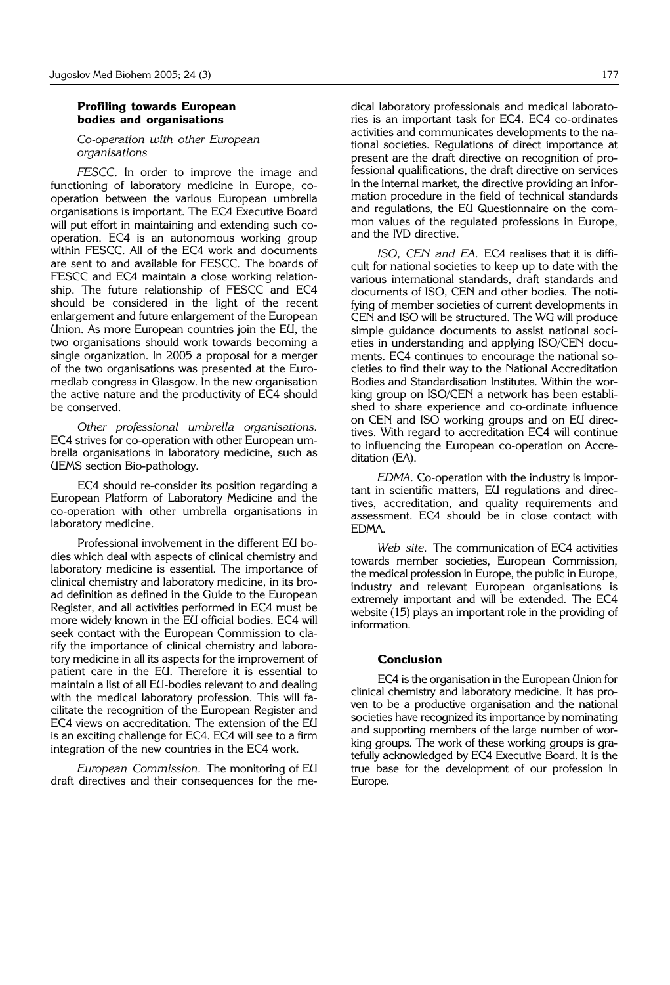#### **Profiling towards European bodies and organisations**

*Co*-*operation with other European organisations*

*FESCC*. In order to improve the image and functioning of laboratory medicine in Europe, cooperation between the various European umbrella organisations is important. The EC4 Executive Board will put effort in maintaining and extending such cooperation. EC4 is an autonomous working group within FESCC. All of the EC4 work and documents are sent to and available for FESCC. The boards of FESCC and EC4 maintain a close working relationship. The future relationship of FESCC and EC4 should be considered in the light of the recent enlargement and future enlargement of the European Union. As more European countries join the EU, the two organisations should work towards becoming a single organization. In 2005 a proposal for a merger of the two organisations was presented at the Euromedlab congress in Glasgow. In the new organisation the active nature and the productivity of EC4 should be conserved.

*Other professional umbrella organisations.* EC4 strives for co-operation with other European umbrella organisations in laboratory medicine, such as UEMS section Bio-pathology.

EC4 should re-consider its position regarding a European Platform of Laboratory Medicine and the co-operation with other umbrella organisations in laboratory medicine.

Professional involvement in the different EU bodies which deal with aspects of clinical chemistry and laboratory medicine is essential. The importance of clinical chemistry and laboratory medicine, in its broad definition as defined in the Guide to the European Register, and all activities performed in EC4 must be more widely known in the EU official bodies. EC4 will seek contact with the European Commission to clarify the importance of clinical chemistry and laboratory medicine in all its aspects for the improvement of patient care in the EU. Therefore it is essential to maintain a list of all EU-bodies relevant to and dealing with the medical laboratory profession. This will facilitate the recognition of the European Register and EC4 views on accreditation. The extension of the EU is an exciting challenge for EC4. EC4 will see to a firm integration of the new countries in the EC4 work.

*European Commission.* The monitoring of EU draft directives and their consequences for the medical laboratory professionals and medical laboratories is an important task for EC4. EC4 co-ordinates activities and communicates developments to the national societies. Regulations of direct importance at present are the draft directive on recognition of professional qualifications, the draft directive on services in the internal market, the directive providing an information procedure in the field of technical standards and regulations, the EU Questionnaire on the common values of the regulated professions in Europe, and the IVD directive.

*ISO, CEN and EA.* EC4 realises that it is difficult for national societies to keep up to date with the various international standards, draft standards and documents of ISO, CEN and other bodies. The notifying of member societies of current developments in CEN and ISO will be structured. The WG will produce simple guidance documents to assist national societies in understanding and applying ISO/CEN documents. EC4 continues to encourage the national societies to find their way to the National Accreditation Bodies and Standardisation Institutes. Within the working group on ISO/CEN a network has been established to share experience and co-ordinate influence on CEN and ISO working groups and on EU directives. With regard to accreditation EC4 will continue to influencing the European co-operation on Accreditation (EA).

*EDMA*. Co-operation with the industry is important in scientific matters, EU regulations and directives, accreditation, and quality requirements and assessment. EC4 should be in close contact with EDMA.

*Web site.* The communication of EC4 activities towards member societies, European Commission, the medical profession in Europe, the public in Europe, industry and relevant European organisations is extremely important and will be extended. The EC4 website (15) plays an important role in the providing of information.

#### **Conclusion**

EC4 is the organisation in the European Union for clinical chemistry and laboratory medicine. It has proven to be a productive organisation and the national societies have recognized its importance by nominating and supporting members of the large number of working groups. The work of these working groups is gratefully acknowledged by EC4 Executive Board. It is the true base for the development of our profession in Europe.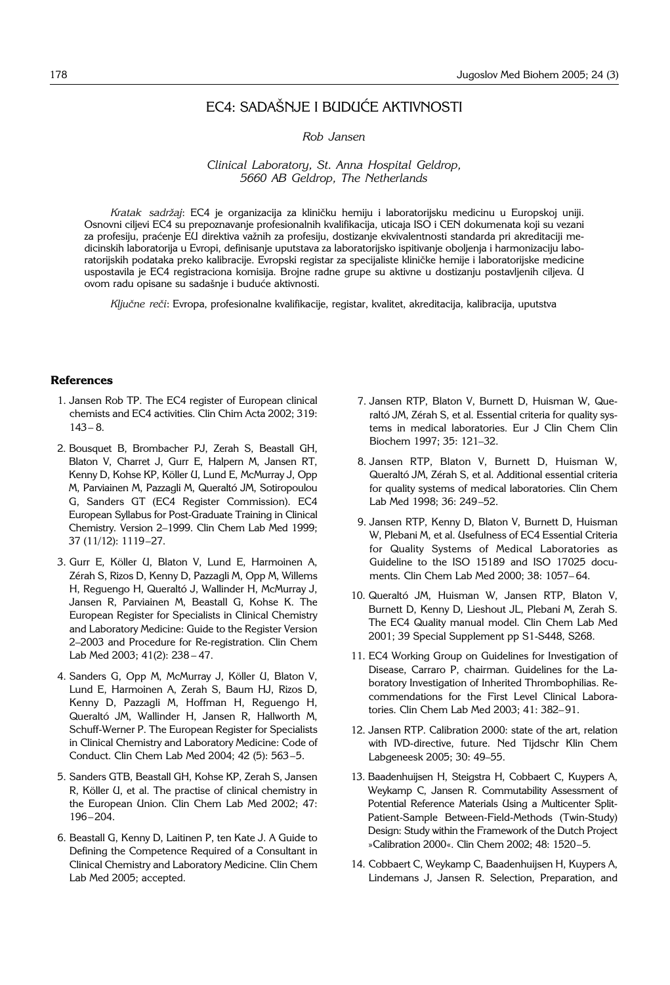# EC4: SADAŠNJE I BUDUĆE AKTIVNOSTI

*Rob Jansen*

### *Clinical Laboratory, St. Anna Hospital Geldrop, 5660 AB Geldrop, The Netherlands*

Kratak sadržaj: EC4 je organizacija za kliničku hemiju i laboratorijsku medicinu u Europskoj uniji. Osnovni ciljevi EC4 su prepoznavanje profesionalnih kvalifikacija, uticaja ISO i CEN dokumenata koji su vezani za profesiju, praćenje EU direktiva važnih za profesiju, dostizanje ekvivalentnosti standarda pri akreditaciji medicinskih laboratorija u Evropi, definisanje uputstava za laboratorijsko ispitivanje oboljenja i harmonizaciju laboratorijskih podataka preko kalibracije. Evropski registar za specijaliste kliničke hemije i laboratorijske medicine uspostavila je EC4 registraciona komisija. Brojne radne grupe su aktivne u dostizanju postavljenih ciljeva. U ovom radu opisane su sadašnje i buduće aktivnosti.

Ključne reči: Evropa, profesionalne kvalifikacije, registar, kvalitet, akreditacija, kalibracija, uputstva

#### **References**

- 1. Jansen Rob TP. The EC4 register of European clinical chemists and EC4 activities. Clin Chim Acta 2002; 319: 143– 8.
- 2. Bousquet B, Brombacher PJ, Zerah S, Beastall GH, Blaton V, Charret J, Gurr E, Halpern M, Jansen RT, Kenny D, Kohse KP, Köller U, Lund E, McMurray J, Opp M, Parviainen M, Pazzagli M, Queraltó JM, Sotiropoulou G, Sanders GT (EC4 Register Commission). EC4 European Syllabus for Post-Graduate Training in Clinical Chemistry. Version 2–1999. Clin Chem Lab Med 1999; 37 (11/12): 1119–27.
- 3. Gurr E, Köller U, Blaton V, Lund E, Harmoinen A, Zérah S, Rizos D, Kenny D, Pazzagli M, Opp M, Willems H, Reguengo H, Queraltó J, Wallinder H, McMurray J, Jansen R, Parviainen M, Beastall G, Kohse K. The European Register for Specialists in Clinical Chemistry and Laboratory Medicine: Guide to the Register Version 2–2003 and Procedure for Re-registration. Clin Chem Lab Med 2003; 41(2): 238 – 47.
- 4. Sanders G, Opp M, McMurray J, Köller U, Blaton V, Lund E, Harmoinen A, Zerah S, Baum HJ, Rizos D, Kenny D, Pazzagli M, Hoffman H, Reguengo H, Queraltó JM, Wallinder H, Jansen R, Hallworth M, Schuff-Werner P. The European Register for Specialists in Clinical Chemistry and Laboratory Medicine: Code of Conduct. Clin Chem Lab Med 2004; 42 (5): 563–5.
- 5. Sanders GTB, Beastall GH, Kohse KP, Zerah S, Jansen R, Köller U, et al. The practise of clinical chemistry in the European Union. Clin Chem Lab Med 2002; 47: 196–204.
- 6. Beastall G, Kenny D, Laitinen P, ten Kate J. A Guide to Defining the Competence Required of a Consultant in Clinical Chemistry and Laboratory Medicine. Clin Chem Lab Med 2005; accepted.
- 7. Jansen RTP, Blaton V, Burnett D, Huisman W, Queraltó JM, Zérah S, et al. Essential criteria for quality systems in medical laboratories. Eur J Clin Chem Clin Biochem 1997; 35: 121–32.
- 8. Jansen RTP, Blaton V, Burnett D, Huisman W, Queraltó JM, Zérah S, et al. Additional essential criteria for quality systems of medical laboratories. Clin Chem Lab Med 1998; 36: 249–52.
- 9. Jansen RTP, Kenny D, Blaton V, Burnett D, Huisman W, Plebani M, et al. Usefulness of EC4 Essential Criteria for Quality Systems of Medical Laboratories as Guideline to the ISO 15189 and ISO 17025 documents. Clin Chem Lab Med 2000; 38: 1057– 64.
- 10. Queraltó JM, Huisman W, Jansen RTP, Blaton V, Burnett D, Kenny D, Lieshout JL, Plebani M, Zerah S. The EC4 Quality manual model. Clin Chem Lab Med 2001; 39 Special Supplement pp S1-S448, S268.
- 11. EC4 Working Group on Guidelines for Investigation of Disease, Carraro P, chairman. Guidelines for the Laboratory Investigation of Inherited Thrombophilias. Recommendations for the First Level Clinical Laboratories. Clin Chem Lab Med 2003; 41: 382–91.
- 12. Jansen RTP. Calibration 2000: state of the art, relation with IVD-directive, future. Ned Tijdschr Klin Chem Labgeneesk 2005; 30: 49–55.
- 13. Baadenhuijsen H, Steigstra H, Cobbaert C, Kuypers A, Weykamp C, Jansen R. Commutability Assessment of Potential Reference Materials Using a Multicenter Split-Patient-Sample Between-Field-Methods (Twin-Study) Design: Study within the Framework of the Dutch Project »Calibration 2000«. Clin Chem 2002; 48: 1520–5.
- 14. Cobbaert C, Weykamp C, Baadenhuijsen H, Kuypers A, Lindemans J, Jansen R. Selection, Preparation, and